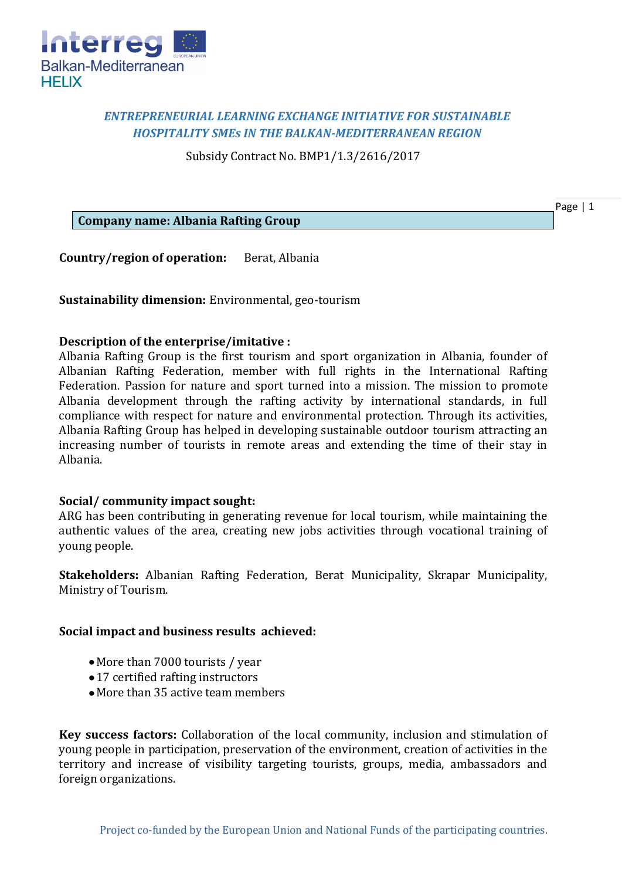

## *ENTREPRENEURIAL LEARNING EXCHANGE INITIATIVE FOR SUSTAINABLE HOSPITALITY SMEs IN THE BALKAN-MEDITERRANEAN REGION*

Subsidy Contract No. BMP1/1.3/2616/2017

**Company name: Albania Rafting Group**

**Country/region of operation:** Berat, Albania

**Sustainability dimension:** Environmental, geo-tourism

## **Description of the enterprise/imitative :**

Albania Rafting Group is the first tourism and sport organization in Albania, founder of Albanian Rafting Federation, member with full rights in the International Rafting Federation. Passion for nature and sport turned into a mission. The mission to promote Albania development through the rafting activity by international standards, in full compliance with respect for nature and environmental protection. Through its activities, Albania Rafting Group has helped in developing sustainable outdoor tourism attracting an increasing number of tourists in remote areas and extending the time of their stay in Albania.

## **Social/ community impact sought:**

ARG has been contributing in generating revenue for local tourism, while maintaining the authentic values of the area, creating new jobs activities through vocational training of young people.

**Stakeholders:** Albanian Rafting Federation, Berat Municipality, Skrapar Municipality, Ministry of Tourism.

## **Social impact and business results achieved:**

- More than 7000 tourists / year
- 17 certified rafting instructors
- More than 35 active team members

**Key success factors:** Collaboration of the local community, inclusion and stimulation of young people in participation, preservation of the environment, creation of activities in the territory and increase of visibility targeting tourists, groups, media, ambassadors and foreign organizations.

Page | 1